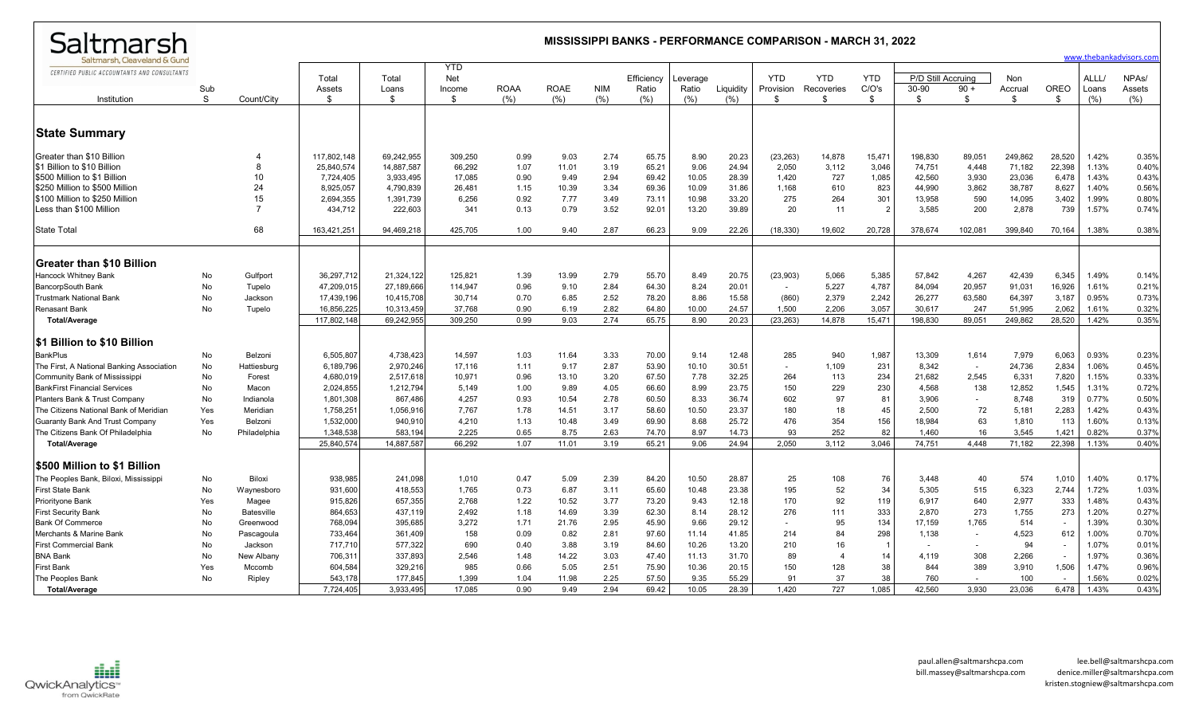| Saltmarsh                                                                                                                                                                                                       | <b>MISSISSIPPI BANKS - PERFORMANCE COMPARISON - MARCH 31, 2022</b><br>www.thebankadvisors.com |                                                                    |                                                                             |                                                                            |                                                       |                                              |                                                  |                                              |                                                    |                                                  |                                                    |                                                   |                                            |                                                          |                                                          |                                                 |                                                          |                                                                         |                                                    |                                                    |
|-----------------------------------------------------------------------------------------------------------------------------------------------------------------------------------------------------------------|-----------------------------------------------------------------------------------------------|--------------------------------------------------------------------|-----------------------------------------------------------------------------|----------------------------------------------------------------------------|-------------------------------------------------------|----------------------------------------------|--------------------------------------------------|----------------------------------------------|----------------------------------------------------|--------------------------------------------------|----------------------------------------------------|---------------------------------------------------|--------------------------------------------|----------------------------------------------------------|----------------------------------------------------------|-------------------------------------------------|----------------------------------------------------------|-------------------------------------------------------------------------|----------------------------------------------------|----------------------------------------------------|
| Saltmarsh, Cleaveland & Gund<br>CERTIFIED PUBLIC ACCOUNTANTS AND CONSULTANTS<br>Institution                                                                                                                     | Sub<br>S                                                                                      | Count/City                                                         | Total<br>Assets<br>\$                                                       | Total<br>Loans<br>\$                                                       | <b>YTD</b><br>Net<br>Income<br>\$                     | <b>ROAA</b><br>(% )                          | <b>ROAE</b><br>(%)                               | <b>NIM</b><br>(% )                           | Efficiency<br>Ratio<br>(% )                        | Leverage<br>Ratio<br>(%)                         | Liquidity<br>(% )                                  | <b>YTD</b><br>Provision<br>-\$                    | <b>YTD</b><br>Recoveries<br>\$.            | <b>YTD</b><br>C/O's<br>\$                                | P/D Still Accruing<br>30-90<br>\$                        | $90 +$<br>\$                                    | Non<br>Accrual<br>-S                                     | <b>OREO</b><br>\$                                                       | ALLL/<br>Loans<br>(%)                              | NPA <sub>s</sub> /<br>Assets<br>(%)                |
| <b>State Summary</b>                                                                                                                                                                                            |                                                                                               |                                                                    |                                                                             |                                                                            |                                                       |                                              |                                                  |                                              |                                                    |                                                  |                                                    |                                                   |                                            |                                                          |                                                          |                                                 |                                                          |                                                                         |                                                    |                                                    |
| <b>Greater than \$10 Billion</b><br>\$1 Billion to \$10 Billion<br>\$500 Million to \$1 Billion<br>S250 Million to \$500 Million<br>\$100 Million to \$250 Million<br>Less than \$100 Million                   |                                                                                               | $\overline{4}$<br>$\mathsf{R}$<br>10<br>24<br>15<br>$\overline{7}$ | 117,802,148<br>25,840,574<br>7,724,405<br>8,925,057<br>2,694,355<br>434,712 | 69,242,955<br>14.887.587<br>3,933,495<br>4,790,839<br>1,391,739<br>222,603 | 309.250<br>66.292<br>17,085<br>26,481<br>6,256<br>341 | 0.99<br>1.07<br>0.90<br>1.15<br>0.92<br>0.13 | 9.03<br>11.01<br>9.49<br>10.39<br>7.77<br>0.79   | 2.74<br>3.19<br>2.94<br>3.34<br>3.49<br>3.52 | 65.75<br>65.21<br>69.42<br>69.36<br>73.11<br>92.01 | 8.90<br>9.06<br>10.05<br>10.09<br>10.98<br>13.20 | 20.23<br>24.94<br>28.39<br>31.86<br>33.20<br>39.89 | (23, 263)<br>2,050<br>1,420<br>1,168<br>275<br>20 | 14,878<br>3,112<br>727<br>610<br>264<br>11 | 15,471<br>3,046<br>1,085<br>823<br>301<br>$\overline{2}$ | 198,830<br>74,751<br>42,560<br>44,990<br>13,958<br>3,585 | 89,051<br>4.448<br>3,930<br>3,862<br>590<br>200 | 249,862<br>71,182<br>23,036<br>38,787<br>14,095<br>2,878 | 28,520<br>22,398<br>6,478<br>8,627<br>3,402<br>739                      | 1.42%<br>1.13%<br>1.43%<br>1.40%<br>1.99%<br>1.57% | 0.35%<br>0.40%<br>0.43%<br>0.56%<br>0.80%<br>0.74% |
| State Total                                                                                                                                                                                                     |                                                                                               | 68                                                                 | 163,421,251                                                                 | 94,469,218                                                                 | 425,705                                               | 1.00                                         | 9.40                                             | 2.87                                         | 66.23                                              | 9.09                                             | 22.26                                              | (18, 330)                                         | 19.602                                     | 20.728                                                   | 378,674                                                  | 102,081                                         | 399,840                                                  | 70,164                                                                  | 1.38%                                              | 0.38%                                              |
| <b>Greater than \$10 Billion</b>                                                                                                                                                                                |                                                                                               |                                                                    |                                                                             |                                                                            |                                                       |                                              |                                                  |                                              |                                                    |                                                  |                                                    |                                                   |                                            |                                                          |                                                          |                                                 |                                                          |                                                                         |                                                    |                                                    |
| Hancock Whitney Bank<br><b>BancorpSouth Bank</b><br><b>Trustmark National Bank</b><br><b>Renasant Bank</b><br>Total/Average                                                                                     | No<br>No<br>No<br><b>No</b>                                                                   | Gulfport<br>Tupelo<br>Jackson<br>Tupelo                            | 36,297,712<br>47,209,015<br>17,439,196<br>16,856,225<br>117,802,148         | 21,324,122<br>27,189,666<br>10,415,708<br>10,313,459<br>69,242,955         | 125,821<br>114,947<br>30,714<br>37.768<br>309,250     | 1.39<br>0.96<br>0.70<br>0.90<br>0.99         | 13.99<br>9.10<br>6.85<br>6.19<br>9.03            | 2.79<br>2.84<br>2.52<br>2.82<br>2.74         | 55.70<br>64.30<br>78.20<br>64.80<br>65.75          | 8.49<br>8.24<br>8.86<br>10.00<br>8.90            | 20.75<br>20.01<br>15.58<br>24.57<br>20.23          | (23,903)<br>$\sim$<br>(860)<br>1.500<br>(23, 263) | 5,066<br>5,227<br>2,379<br>2.206<br>14,878 | 5,385<br>4,787<br>2,242<br>3.057<br>15,471               | 57,842<br>84,094<br>26,277<br>30.617<br>198,830          | 4,267<br>20,957<br>63,580<br>247<br>89,051      | 42,439<br>91,031<br>64,397<br>51.995<br>249,862          | 6,345<br>16,926<br>3,187<br>2.062<br>28,520                             | 1.49%<br>1.61%<br>0.95%<br>1.61%<br>1.42%          | 0.14%<br>0.21%<br>0.73%<br>0.32%<br>0.35%          |
| <b>S1 Billion to \$10 Billion</b>                                                                                                                                                                               |                                                                                               |                                                                    |                                                                             |                                                                            |                                                       |                                              |                                                  |                                              |                                                    |                                                  |                                                    |                                                   |                                            |                                                          |                                                          |                                                 |                                                          |                                                                         |                                                    |                                                    |
| <b>BankPlus</b><br>The First, A National Banking Association<br>Community Bank of Mississippi<br><b>BankFirst Financial Services</b><br>Planters Bank & Trust Company<br>The Citizens National Bank of Meridian | No<br>No<br>No<br>No<br>No<br>Yes                                                             | Belzoni<br>Hattiesburg<br>Forest<br>Macon<br>Indianola<br>Meridian | 6,505,807<br>6,189,796<br>4,680,019<br>2,024,855<br>1,801,308<br>1,758,251  | 4,738,423<br>2,970,246<br>2,517,618<br>1,212,794<br>867,486<br>1,056,916   | 14,597<br>17.116<br>10,971<br>5.149<br>4,257<br>7,767 | 1.03<br>1.11<br>0.96<br>1.00<br>0.93<br>1.78 | 11.64<br>9.17<br>13.10<br>9.89<br>10.54<br>14.51 | 3.33<br>2.87<br>3.20<br>4.05<br>2.78<br>3.17 | 70.00<br>53.90<br>67.50<br>66.60<br>60.50<br>58.60 | 9.14<br>10.10<br>7.78<br>8.99<br>8.33<br>10.50   | 12.48<br>30.51<br>32.25<br>23.75<br>36.74<br>23.37 | 285<br>$\sim$<br>264<br>150<br>602<br>180         | 940<br>1,109<br>113<br>229<br>97<br>18     | 1,987<br>231<br>234<br>230<br>81<br>45                   | 13,309<br>8,342<br>21,682<br>4,568<br>3,906<br>2,500     | 1,614<br>$\sim$<br>2,545<br>138<br>72           | 7,979<br>24,736<br>6,331<br>12,852<br>8,748<br>5,181     | 6,063<br>2,834<br>7,820<br>1,545<br>319<br>2,283                        | 0.93%<br>1.06%<br>1.15%<br>1.31%<br>0.77%<br>1.42% | 0.23%<br>0.45%<br>0.33%<br>0.72%<br>0.50%<br>0.43% |
| <b>Guaranty Bank And Trust Company</b><br>The Citizens Bank Of Philadelphia<br><b>Total/Average</b>                                                                                                             | Yes<br><b>No</b>                                                                              | Belzoni<br>Philadelphia                                            | 1,532,000<br>1.348.538<br>25,840,574                                        | 940,910<br>583.194<br>14,887,587                                           | 4,210<br>2.225<br>66,292                              | 1.13<br>0.65<br>1.07                         | 10.48<br>8.75<br>11.01                           | 3.49<br>2.63<br>3.19                         | 69.90<br>74.70<br>65.21                            | 8.68<br>8.97<br>9.06                             | 25.72<br>14.73<br>24.94                            | 476<br>93<br>2,050                                | 354<br>252<br>3,112                        | 156<br>82<br>3,046                                       | 18,984<br>1.460<br>74,751                                | 63<br>16<br>4.448                               | 1,810<br>3.545<br>71,182                                 | 113<br>1,421<br>22,398                                                  | 1.60%<br>0.82%<br>1.13%                            | 0.13%<br>0.37%<br>0.40%                            |
| <b>S500 Million to \$1 Billion</b>                                                                                                                                                                              |                                                                                               |                                                                    |                                                                             |                                                                            |                                                       |                                              |                                                  |                                              |                                                    |                                                  |                                                    |                                                   |                                            |                                                          |                                                          |                                                 |                                                          |                                                                         |                                                    |                                                    |
| The Peoples Bank, Biloxi, Mississippi<br><b>First State Bank</b><br>Priorityone Bank                                                                                                                            | No<br><b>No</b><br>Yes                                                                        | Biloxi<br>Waynesboro<br>Magee                                      | 938,985<br>931,600<br>915,826                                               | 241,098<br>418,553<br>657,355                                              | 1,010<br>1,765<br>2,768                               | 0.47<br>0.73<br>1.22                         | 5.09<br>6.87<br>10.52                            | 2.39<br>3.11<br>3.77                         | 84.20<br>65.60<br>73.20                            | 10.50<br>10.48<br>9.43                           | 28.87<br>23.38<br>12.18                            | 25<br>195<br>170                                  | 108<br>52<br>92                            | 76<br>34<br>119                                          | 3,448<br>5,305<br>6,917                                  | 40<br>515<br>640                                | 574<br>6,323<br>2,977                                    | 1,010<br>2,744<br>333                                                   | 1.40%<br>1.72%<br>1.48%                            | 0.17%<br>1.03%<br>0.43%                            |
| <b>First Security Bank</b><br><b>Bank Of Commerce</b><br>Merchants & Marine Bank                                                                                                                                | <b>No</b><br><b>No</b><br>No                                                                  | Batesville<br>Greenwood<br>Pascagoula                              | 864,653<br>768,094<br>733,464<br>717,710                                    | 437,119<br>395,685<br>361,409<br>577,322                                   | 2.492<br>3,272<br>158<br>690                          | 1.18<br>1.71<br>0.09<br>0.40                 | 14.69<br>21.76<br>0.82<br>3.88                   | 3.39<br>2.95<br>2.81<br>3.19                 | 62.30<br>45.90<br>97.60<br>84.60                   | 8.14<br>9.66<br>11.14<br>10.26                   | 28.12<br>29.12<br>41.85<br>13.20                   | 276<br>$\sim$<br>214<br>210                       | 111<br>95<br>84<br>16                      | 333<br>134<br>298                                        | 2.870<br>17,159<br>1.138                                 | 273<br>1,765<br>$\sim$                          | 1.755<br>514<br>4,523<br>94                              | 273<br>$\overline{\phantom{a}}$<br>612                                  | 1.20%<br>1.39%<br>1.00%<br>1.07%                   | 0.27%<br>0.30%<br>0.70%<br>0.01%                   |
| <b>First Commercial Bank</b><br><b>BNA Bank</b><br><b>First Bank</b>                                                                                                                                            | No<br>No<br>Yes<br>No                                                                         | Jackson<br>New Albany<br>Mccomb                                    | 706,31<br>604,584<br>543,178                                                | 337,893<br>329,216<br>177,845                                              | 2,546<br>985<br>1,399                                 | 1.48<br>0.66<br>1.04                         | 14.22<br>5.05<br>11.98                           | 3.03<br>2.51<br>2.25                         | 47.40<br>75.90<br>57.50                            | 11.13<br>10.36<br>9.35                           | 31.70<br>20.15<br>55.29                            | 89<br>150<br>91                                   | $\overline{4}$<br>128<br>37                | 14<br>38<br>38                                           | $\overline{\phantom{a}}$<br>4,119<br>844<br>760          | $\sim$<br>308<br>389                            | 2,266<br>3,910<br>100                                    | $\overline{\phantom{a}}$<br>$\overline{\phantom{a}}$<br>1,506<br>$\sim$ | 1.97%<br>1.47%<br>1.56%                            | 0.36%<br>0.96%<br>0.02%                            |
| The Peoples Bank<br><b>Total/Average</b>                                                                                                                                                                        |                                                                                               | Ripley                                                             | 7.724.405                                                                   | 3.933.495                                                                  | 17.085                                                | 0.90                                         | 9.49                                             | 2.94                                         | 69.42                                              | 10.05                                            | 28.39                                              | 1.420                                             | 727                                        | 1.085                                                    | 42.560                                                   | 3.930                                           | 23.036                                                   | 6.478                                                                   | 1.43%                                              | 0.43%                                              |

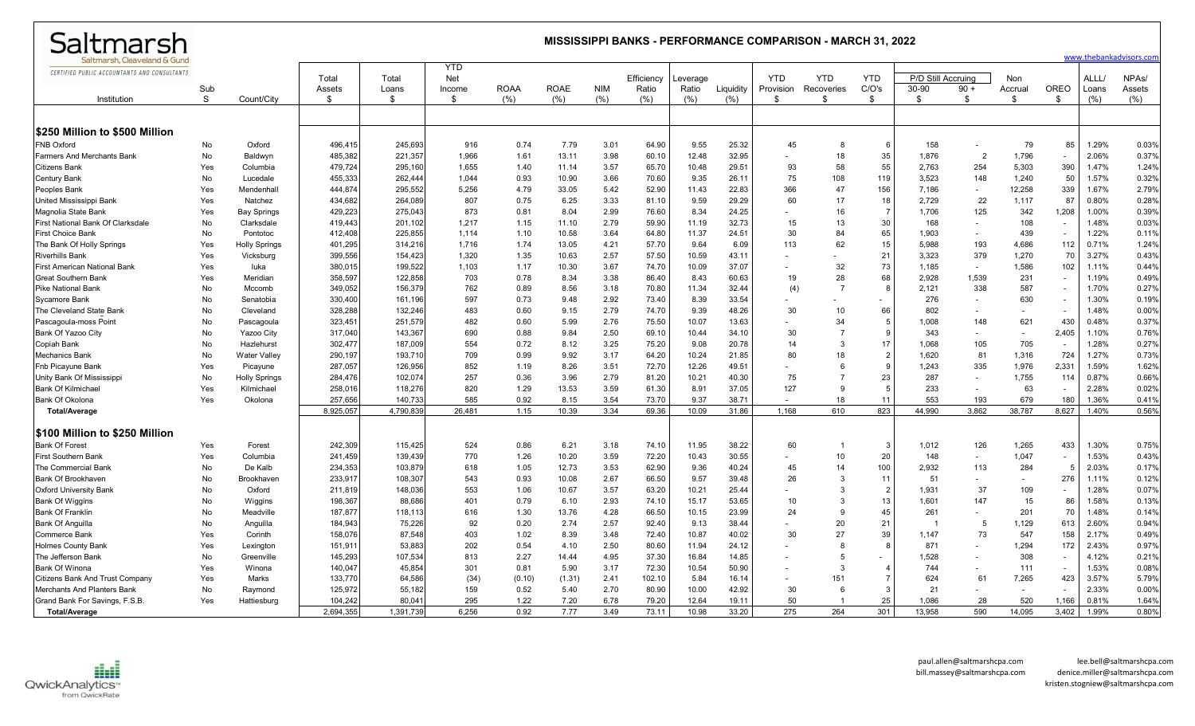| Saltmarsh                                    | <b>MISSISSIPPI BANKS - PERFORMANCE COMPARISON - MARCH 31, 2022</b><br>www.thebankadvisors.com |                      |              |             |              |                    |                     |                    |              |              |                      |                          |                  |                |                    |                |                          |                          |                  |               |
|----------------------------------------------|-----------------------------------------------------------------------------------------------|----------------------|--------------|-------------|--------------|--------------------|---------------------|--------------------|--------------|--------------|----------------------|--------------------------|------------------|----------------|--------------------|----------------|--------------------------|--------------------------|------------------|---------------|
| Saltmarsh. Cleaveland & Gund                 |                                                                                               |                      |              |             | <b>YTD</b>   |                    |                     |                    |              |              |                      |                          |                  |                |                    |                |                          |                          |                  |               |
| CERTIFIED PUBLIC ACCOUNTANTS AND CONSULTANTS |                                                                                               |                      | Total        | Total       | <b>Net</b>   |                    |                     |                    | Efficiency   | Leverage     |                      | <b>YTD</b>               | <b>YTD</b>       | <b>YTD</b>     | P/D Still Accruing |                | Non                      |                          | ALLL/            | NPAs/         |
| Institution                                  | Sub<br>S                                                                                      | Count/City           | Assets<br>-S | Loans<br>\$ | Income<br>\$ | <b>ROAA</b><br>(%) | <b>ROAE</b><br>(% ) | <b>NIM</b><br>(% ) | Ratio<br>(%) | Ratio<br>(%) | Liquidity<br>$(\% )$ | Provision                | Recoveries<br>\$ | C/O's<br>- \$  | 30-90<br>\$        | $90 +$<br>\$   | Accrual<br>\$.           | OREO<br>\$               | Loans<br>$(\% )$ | Assets<br>(%) |
|                                              |                                                                                               |                      |              |             |              |                    |                     |                    |              |              |                      |                          |                  |                |                    |                |                          |                          |                  |               |
| ∣\$250 Million to \$500 Million              |                                                                                               |                      |              |             |              |                    |                     |                    |              |              |                      |                          |                  |                |                    |                |                          |                          |                  |               |
| <b>FNB Oxford</b>                            | No                                                                                            | Oxford               | 496,415      | 245,693     | 916          | 0.74               | 7.79                | 3.01               | 64.90        | 9.55         | 25.32                | 45                       | 8                | 6              | 158                |                | 79                       | 85                       | 1.29%            | 0.03%         |
| <b>Farmers And Merchants Bank</b>            | No                                                                                            | Baldwyn              | 485,382      | 221,357     | 1,966        | 1.61               | 13.11               | 3.98               | 60.10        | 12.48        | 32.95                | $\overline{\phantom{a}}$ | 18               | 35             | 1,876              | $\overline{2}$ | 1,796                    | $\blacksquare$           | 2.06%            | 0.37%         |
| <b>Citizens Bank</b>                         | Yes                                                                                           | Columbia             | 479,724      | 295,160     | 1,655        | 1.40               | 11.14               | 3.57               | 65.70        | 10.48        | 29.51                | 93                       | 58               | 55             | 2,763              | 254            | 5,303                    | 390                      | 1.47%            | 1.24%         |
| <b>Century Bank</b>                          | No                                                                                            | Lucedale             | 455,333      | 262,444     | 1,044        | 0.93               | 10.90               | 3.66               | 70.60        | 9.35         | 26.11                | 75                       | 108              | 119            | 3,523              | 148            | 1,240                    | 50                       | 1.57%            | 0.32%         |
| <b>Peoples Bank</b>                          | Yes                                                                                           | Mendenhall           | 444,874      | 295,552     | 5,256        | 4.79               | 33.05               | 5.42               | 52.90        | 11.43        | 22.83                | 366                      | 47               | 156            | 7,186              |                | 12,258                   | 339                      | 1.67%            | 2.79%         |
| United Mississippi Bank                      | Yes                                                                                           | Natchez              | 434,682      | 264,089     | 807          | 0.75               | 6.25                | 3.33               | 81.10        | 9.59         | 29.29                | 60                       | 17               | 18             | 2,729              | 22             | 1,117                    | 87                       | 0.80%            | 0.28%         |
| Magnolia State Bank                          | Yes                                                                                           | <b>Bay Springs</b>   | 429,223      | 275.043     | 873          | 0.81               | 8.04                | 2.99               | 76.60        | 8.34         | 24.25                | $\sim$                   | 16               | $\overline{7}$ | 1.706              | 125            | 342                      | 1,208                    | 1.00%            | 0.39%         |
| First National Bank Of Clarksdale            | No                                                                                            | Clarksdale           | 419,443      | 201,102     | 1,217        | 1.15               | 11.10               | 2.79               | 59.90        | 11.19        | 32.73                | 15                       | 13               | 30             | 168                |                | 108                      | $\sim$                   | 1.48%            | 0.03%         |
| <b>First Choice Bank</b>                     | <b>No</b>                                                                                     | Pontotoc             | 412,408      | 225,855     | 1,114        | 1.10               | 10.58               | 3.64               | 64.80        | 11.37        | 24.51                | 30                       | 84               | 65             | 1,903              |                | 439                      | $\overline{\phantom{a}}$ | 1.22%            | 0.11%         |
| The Bank Of Holly Springs                    | Yes                                                                                           | <b>Holly Springs</b> | 401,295      | 314,216     | 1,716        | 1.74               | 13.05               | 4.21               | 57.70        | 9.64         | 6.09                 | 113                      | 62               | 15             | 5,988              | 193            | 4,686                    | 112                      | 0.71%            | 1.24%         |
| <b>Riverhills Bank</b>                       | Yes                                                                                           | Vicksburg            | 399,556      | 154,423     | 1,320        | 1.35               | 10.63               | 2.57               | 57.50        | 10.59        | 43.11                |                          |                  | 21             | 3,323              | 379            | 1,270                    | 70                       | 3.27%            | 0.43%         |
| First American National Bank                 | Yes                                                                                           | luka                 | 380.015      | 199.522     | 1.103        | 1.17               | 10.30               | 3.67               | 74.70        | 10.09        | 37.07                | $\sim$                   | 32               | 73             | 1.185              |                | 1,586                    | 102                      | 1.11%            | 0.44%         |
| <b>Great Southern Bank</b>                   | Yes                                                                                           | Meridian             | 358,597      | 122,858     | 703          | 0.78               | 8.34                | 3.38               | 86.40        | 8.43         | 60.63                | 19                       | 28               | 68             | 2,928              | 1,539          | 231                      | $\overline{\phantom{a}}$ | 1.19%            | 0.49%         |
| <b>Pike National Bank</b>                    | No                                                                                            | Mccomb               | 349,052      | 156,379     | 762          | 0.89               | 8.56                | 3.18               | 70.80        | 11.34        | 32.44                | (4)                      | $\overline{7}$   | 8              | 2,121              | 338            | 587                      | $\overline{\phantom{a}}$ | 1.70%            | 0.27%         |
| <b>Sycamore Bank</b>                         | No                                                                                            | Senatobia            | 330,400      | 161,196     | 597          | 0.73               | 9.48                | 2.92               | 73.40        | 8.39         | 33.54                | $\sim$                   |                  |                | 276                |                | 630                      | $\blacksquare$           | 1.30%            | 0.19%         |
| The Cleveland State Bank                     | No                                                                                            | Cleveland            | 328,288      | 132,246     | 483          | 0.60               | 9.15                | 2.79               | 74.70        | 9.39         | 48.26                | 30                       | 10               | 66             | 802                |                |                          |                          | 1.48%            | 0.00%         |
| Pascagoula-moss Point                        | No                                                                                            | Pascagoula           | 323,451      | 251,579     | 482          | 0.60               | 5.99                | 2.76               | 75.50        | 10.07        | 13.63                |                          | 34               | -5             | 1,008              | 148            | 621                      | 430                      | 0.48%            | 0.37%         |
| Bank Of Yazoo City                           | No.                                                                                           | Yazoo City           | 317,040      | 143,367     | 690          | 0.88               | 9.84                | 2.50               | 69.10        | 10.44        | 34.10                | 30                       | $\overline{7}$   | $\mathbf{q}$   | 343                |                | $\overline{\phantom{a}}$ | 2,405                    | 1.10%            | 0.76%         |
| Copiah Bank                                  | No                                                                                            | Hazlehurst           | 302,477      | 187,009     | 554          | 0.72               | 8.12                | 3.25               | 75.20        | 9.08         | 20.78                | 14                       | 3                | 17             | 1,068              | 105            | 705                      | $\overline{\phantom{a}}$ | 1.28%            | 0.27%         |
| Mechanics Bank                               | <b>No</b>                                                                                     | <b>Water Valley</b>  | 290,197      | 193.710     | 709          | 0.99               | 9.92                | 3.17               | 64.20        | 10.24        | 21.85                | 80                       | 18               | $\overline{2}$ | 1,620              | 81             | 1,316                    | 724                      | 1.27%            | 0.73%         |
| <b>Fnb Picayune Bank</b>                     | Yes                                                                                           | Picayune             | 287,057      | 126,956     | 852          | 1.19               | 8.26                | 3.51               | 72.70        | 12.26        | 49.51                | $\sim$                   | 6                | -9             | 1,243              | 335            | 1,976                    | 2,331                    | 1.59%            | 1.62%         |
| Unity Bank Of Mississippi                    | No                                                                                            | <b>Holly Springs</b> | 284,476      | 102,074     | 257          | 0.36               | 3.96                | 2.79               | 81.20        | 10.21        | 40.30                | 75                       |                  | 23             | 287                |                | 1,755                    | 114                      | 0.87%            | 0.66%         |
| <b>Bank Of Kilmichae</b>                     | Yes                                                                                           | Kilmichael           | 258,016      | 118,276     | 820          | 1.29               | 13.53               | 3.59               | 61.30        | 8.91         | 37.05                | 127                      | <b>q</b>         | -5             | 233                |                | 63                       | $\overline{\phantom{a}}$ | 2.28%            | 0.02%         |
| <b>Bank Of Okolona</b>                       | Yes                                                                                           | Okolona              | 257,656      | 140,733     | 585          | 0.92               | 8.15                | 3.54               | 73.70        | 9.37         | 38.71                |                          | 18               | 11             | 553                | 193            | 679                      | 180                      | 1.36%            | 0.41%         |
| <b>Total/Average</b>                         |                                                                                               |                      | 8,925,057    | 4,790,83    | 26,481       | 1.15               | 10.39               | 3.34               | 69.36        | 10.09        | 31.86                | 1,168                    | 610              | 823            | 44,990             | 3,862          | 38,787                   | 8,627                    | 1.40%            | 0.56%         |
| <b>S100 Million to \$250 Million</b>         |                                                                                               |                      |              |             |              |                    |                     |                    |              |              |                      |                          |                  |                |                    |                |                          |                          |                  |               |
| <b>Bank Of Forest</b>                        | Yes                                                                                           | Forest               | 242,309      | 115,425     | 524          | 0.86               | 6.21                | 3.18               | 74.10        | 11.95        | 38.22                | 60                       | -1               | - 3            | 1,012              | 126            | 1,265                    | 433                      | 1.30%            | 0.75%         |
| <b>First Southern Bank</b>                   | Yes                                                                                           | Columbia             | 241,459      | 139,439     | 770          | 1.26               | 10.20               | 3.59               | 72.20        | 10.43        | 30.55                | $\sim$                   | 10               | 20             | 148                |                | 1,047                    | $\sim$                   | 1.53%            | 0.43%         |
| The Commercial Bank                          | No                                                                                            | De Kalb              | 234,353      | 103,879     | 618          | 1.05               | 12.73               | 3.53               | 62.90        | 9.36         | 40.24                | 45                       | 14               | 100            | 2,932              | 113            | 284                      |                          | 2.03%            | 0.17%         |
| <b>Bank Of Brookhaven</b>                    | No                                                                                            | <b>Brookhaver</b>    | 233,917      | 108,307     | 543          | 0.93               | 10.08               | 2.67               | 66.50        | 9.57         | 39.48                | 26                       | 3                | 11             | 51                 |                | ٠                        | 276                      | 1.11%            | 0.12%         |
| <b>Oxford University Bank</b>                | No                                                                                            | Oxford               | 211,819      | 148.036     | 553          | 1.06               | 10.67               | 3.57               | 63.20        | 10.21        | 25.44                | $\sim$                   | 3                | $\overline{2}$ | 1.931              | 37             | 109                      |                          | 1.28%            | 0.07%         |
| <b>Bank Of Wiggins</b>                       | No                                                                                            | Wiggins              | 198,367      | 88,686      | 401          | 0.79               | 6.10                | 2.93               | 74.10        | 15.17        | 53.65                | 10                       | 3                | 13             | 1,601              | 147            | 15                       | 86                       | 1.58%            | 0.13%         |
| <b>Bank Of Franklin</b>                      | <b>No</b>                                                                                     | Meadville            | 187,877      | 118,11      | 616          | 1.30               | 13.76               | 4.28               | 66.50        | 10.15        | 23.99                | 24                       | 9                | 45             | 261                |                | 201                      | 70                       | 1.48%            | 0.14%         |
| <b>Bank Of Anguilla</b>                      | No                                                                                            | Anguilla             | 184,943      | 75,226      | 92           | 0.20               | 2.74                | 2.57               | 92.40        | 9.13         | 38.44                | $\sim$                   | 20               | 21             |                    | -5             | 1,129                    | 613                      | 2.60%            | 0.94%         |
| Commerce Bank                                | Yes                                                                                           | Corinth              | 158,076      | 87,548      | 403          | 1.02               | 8.39                | 3.48               | 72.40        | 10.87        | 40.02                | 30                       | 27               | 39             | 1,147              | 73             | 547                      | 158                      | 2.17%            | 0.49%         |
| <b>Holmes County Bank</b>                    | Yes                                                                                           | Lexington            | 151,911      | 53,883      | 202          | 0.54               | 4.10                | 2.50               | 80.60        | 11.94        | 24.12                |                          | 8                | -8             | 871                |                | 1,294                    | 172                      | 2.43%            | 0.97%         |
| The Jefferson Bank                           | No                                                                                            | Greenville           | 145,293      | 107,534     | 813          | 2.27               | 14.44               | 4.95               | 37.30        | 16.84        | 14.85                | $\sim$                   | 5                | $\sim$         | 1,528              |                | 308                      | $\overline{\phantom{a}}$ | 4.12%            | 0.21%         |
| <b>Bank Of Winona</b>                        | Yes                                                                                           | Winona               | 140,047      | 45,854      | 301          | 0.81               | 5.90                | 3.17               | 72.30        | 10.54        | 50.90                | $\overline{\phantom{a}}$ | 3                | $\overline{4}$ | 744                |                | 111                      | $\overline{\phantom{a}}$ | 1.53%            | 0.08%         |
| Citizens Bank And Trust Company              | Yes                                                                                           | Marks                | 133,770      | 64,586      | (34)         | (0.10)             | (1.31)              | 2.41               | 102.10       | 5.84         | 16.14                | $\sim$                   | 151              |                | 624                | 61             | 7,265                    | 423                      | 3.57%            | 5.79%         |
| Merchants And Planters Bank                  | No                                                                                            | Raymond              | 125,972      | 55,182      | 159          | 0.52               | 5.40                | 2.70               | 80.90        | 10.00        | 42.92                | 30                       | 6                | -3             | 21                 |                |                          | $\sim$                   | 2.33%            | 0.00%         |
| Grand Bank For Savings, F.S.B                | Yes                                                                                           | Hattiesburg          | 104.242      | 80.041      | 295          | 1.22               | 7.20                | 6.78               | 79.20        | 12.64        | 19.11                | 50                       |                  | 25             | 1.086              | 28             | 520                      | 1.166                    | 0.81%            | 1.64%         |
| <b>Total/Average</b>                         |                                                                                               |                      | 2,694,355    | 1,391,739   | 6,256        | 0.92               | 7.77                | 3.49               | 73.11        | 10.98        | 33.20                | 275                      | 264              | 301            | 13,958             | 590            | 14.095                   | 3,402                    | 1.99%            | 0.80%         |
|                                              |                                                                                               |                      |              |             |              |                    |                     |                    |              |              |                      |                          |                  |                |                    |                |                          |                          |                  |               |